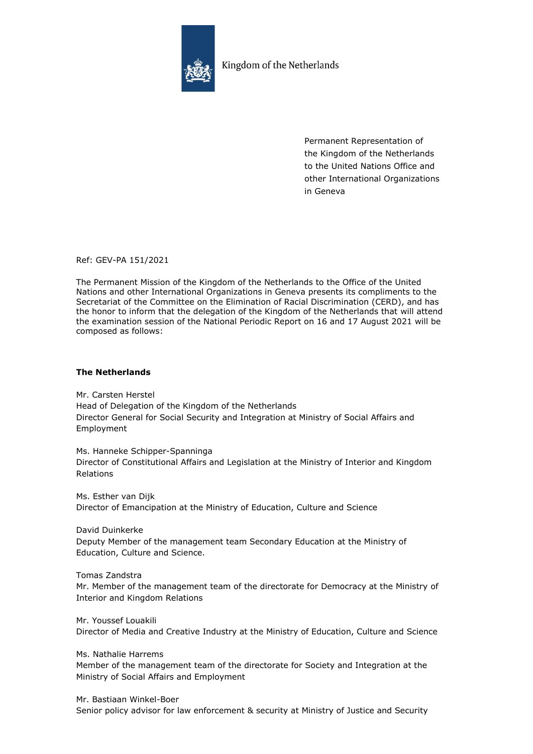

Kingdom of the Netherlands

Permanent Representation of the Kingdom of the Netherlands to the United Nations Office and other International Organizations in Geneva

Ref: GEV-PA 151/2021

The Permanent Mission of the Kingdom of the Netherlands to the Office of the United Nations and other International Organizations in Geneva presents its compliments to the Secretariat of the Committee on the Elimination of Racial Discrimination (CERD), and has the honor to inform that the delegation of the Kingdom of the Netherlands that will attend the examination session of the National Periodic Report on 16 and 17 August 2021 will be composed as follows:

## **The Netherlands**

Mr. Carsten Herstel Head of Delegation of the Kingdom of the Netherlands Director General for Social Security and Integration at Ministry of Social Affairs and Employment

Ms. Hanneke Schipper-Spanninga Director of Constitutional Affairs and Legislation at the Ministry of Interior and Kingdom Relations

Ms. Esther van Dijk Director of Emancipation at the Ministry of Education, Culture and Science

David Duinkerke Deputy Member of the management team Secondary Education at the Ministry of Education, Culture and Science.

Tomas Zandstra Mr. Member of the management team of the directorate for Democracy at the Ministry of Interior and Kingdom Relations

Mr. Youssef Louakili Director of Media and Creative Industry at the Ministry of Education, Culture and Science

Ms. Nathalie Harrems Member of the management team of the directorate for Society and Integration at the Ministry of Social Affairs and Employment

Mr. Bastiaan Winkel-Boer Senior policy advisor for law enforcement & security at Ministry of Justice and Security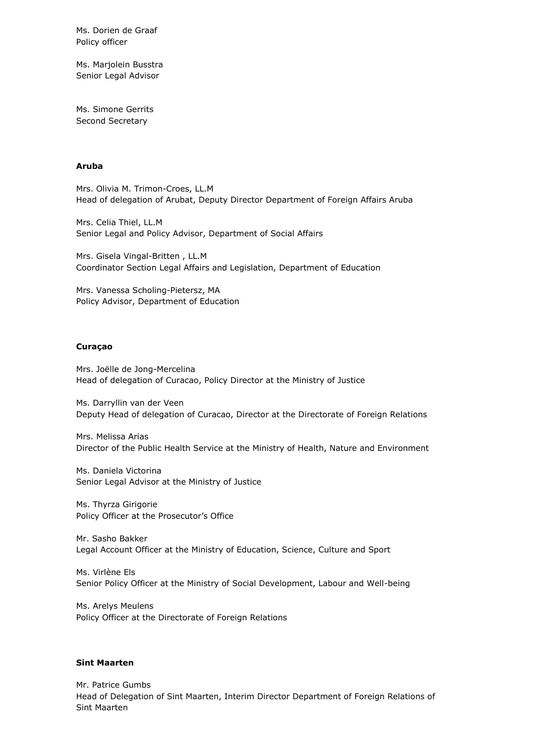Ms. Dorien de Graaf Policy officer

Ms. Marjolein Busstra Senior Legal Advisor

Ms. Simone Gerrits Second Secretary

## **Aruba**

Mrs. Olivia M. Trimon-Croes, LL.M Head of delegation of Arubat, Deputy Director Department of Foreign Affairs Aruba

Mrs. Celia Thiel, LL.M Senior Legal and Policy Advisor, Department of Social Affairs

Mrs. Gisela Vingal-Britten , LL.M Coordinator Section Legal Affairs and Legislation, Department of Education

Mrs. Vanessa Scholing-Pietersz, MA Policy Advisor, Department of Education

## **Curaçao**

Mrs. Joëlle de Jong-Mercelina Head of delegation of Curacao, Policy Director at the Ministry of Justice

Ms. Darryllin van der Veen Deputy Head of delegation of Curacao, Director at the Directorate of Foreign Relations

Mrs. Melissa Arias Director of the Public Health Service at the Ministry of Health, Nature and Environment

Ms. Daniela Victorina Senior Legal Advisor at the Ministry of Justice

Ms. Thyrza Girigorie Policy Officer at the Prosecutor's Office

Mr. Sasho Bakker Legal Account Officer at the Ministry of Education, Science, Culture and Sport

Ms. Virlène Els Senior Policy Officer at the Ministry of Social Development, Labour and Well-being

Ms. Arelys Meulens Policy Officer at the Directorate of Foreign Relations

## **Sint Maarten**

Mr. Patrice Gumbs Head of Delegation of Sint Maarten, Interim Director Department of Foreign Relations of Sint Maarten